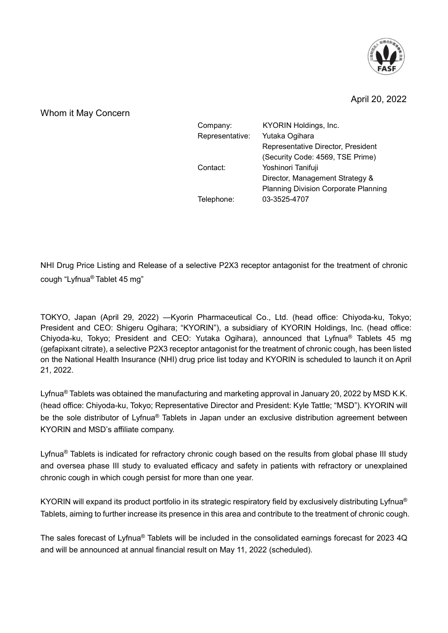

## April 20, 2022

Whom it May Concern

| Company:        | KYORIN Holdings, Inc.                       |
|-----------------|---------------------------------------------|
| Representative: | Yutaka Ogihara                              |
|                 | Representative Director, President          |
|                 | (Security Code: 4569, TSE Prime)            |
| Contact:        | Yoshinori Tanifuji                          |
|                 | Director, Management Strategy &             |
|                 | <b>Planning Division Corporate Planning</b> |
| Telephone:      | 03-3525-4707                                |
|                 |                                             |

NHI Drug Price Listing and Release of a selective P2X3 receptor antagonist for the treatment of chronic cough "Lyfnua® Tablet 45 mg"

TOKYO, Japan (April 29, 2022) ―Kyorin Pharmaceutical Co., Ltd. (head office: Chiyoda-ku, Tokyo; President and CEO: Shigeru Ogihara; "KYORIN"), a subsidiary of KYORIN Holdings, Inc. (head office: Chiyoda-ku, Tokyo; President and CEO: Yutaka Ogihara), announced that Lyfnua® Tablets 45 mg (gefapixant citrate), a selective P2X3 receptor antagonist for the treatment of chronic cough, has been listed on the National Health Insurance (NHI) drug price list today and KYORIN is scheduled to launch it on April 21, 2022.

Lyfnua<sup>®</sup> Tablets was obtained the manufacturing and marketing approval in January 20, 2022 by MSD K.K. (head office: Chiyoda-ku, Tokyo; Representative Director and President: Kyle Tattle; "MSD"). KYORIN will be the sole distributor of Lyfnua<sup>®</sup> Tablets in Japan under an exclusive distribution agreement between KYORIN and MSD's affiliate company.

Lyfnua<sup>®</sup> Tablets is indicated for refractory chronic cough based on the results from global phase III study and oversea phase III study to evaluated efficacy and safety in patients with refractory or unexplained chronic cough in which cough persist for more than one year.

KYORIN will expand its product portfolio in its strategic respiratory field by exclusively distributing Lyfnua<sup>®</sup> Tablets, aiming to further increase its presence in this area and contribute to the treatment of chronic cough.

The sales forecast of Lyfnua® Tablets will be included in the consolidated earnings forecast for 2023 4Q and will be announced at annual financial result on May 11, 2022 (scheduled).